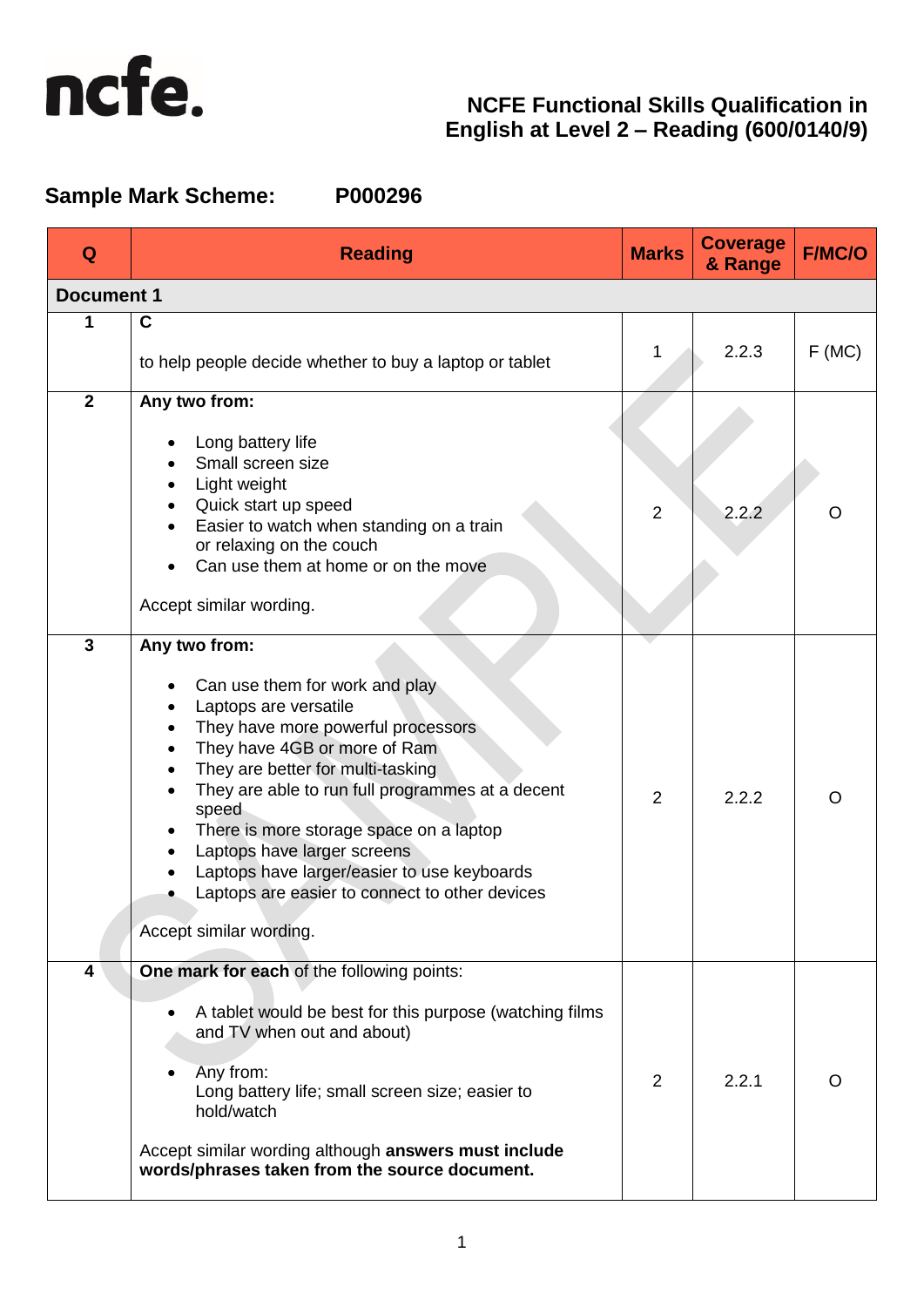

# **Sample Mark Scheme: P000296**

| Q                 | <b>Reading</b>                                                                                                                                                                                                                                                                                                                                                                                                                                                                                                                       | <b>Marks</b>   | <b>Coverage</b><br>& Range | <b>F/MC/O</b> |
|-------------------|--------------------------------------------------------------------------------------------------------------------------------------------------------------------------------------------------------------------------------------------------------------------------------------------------------------------------------------------------------------------------------------------------------------------------------------------------------------------------------------------------------------------------------------|----------------|----------------------------|---------------|
| <b>Document 1</b> |                                                                                                                                                                                                                                                                                                                                                                                                                                                                                                                                      |                |                            |               |
| 1                 | $\mathbf C$<br>to help people decide whether to buy a laptop or tablet                                                                                                                                                                                                                                                                                                                                                                                                                                                               |                | 2.2.3                      | F(MC)         |
| $\overline{2}$    | Any two from:<br>Long battery life<br>Small screen size<br>Light weight<br>٠<br>Quick start up speed<br>Easier to watch when standing on a train<br>$\bullet$<br>or relaxing on the couch<br>Can use them at home or on the move<br>Accept similar wording.                                                                                                                                                                                                                                                                          | $\overline{2}$ | 2.2.2                      | O             |
| 3                 | Any two from:<br>Can use them for work and play<br>Laptops are versatile<br>$\bullet$<br>They have more powerful processors<br>$\bullet$<br>They have 4GB or more of Ram<br>$\bullet$<br>They are better for multi-tasking<br>$\bullet$<br>They are able to run full programmes at a decent<br>speed<br>There is more storage space on a laptop<br>$\bullet$<br>Laptops have larger screens<br>$\bullet$<br>Laptops have larger/easier to use keyboards<br>Laptops are easier to connect to other devices<br>Accept similar wording. | 2              | 2.2.2                      | O             |
| 4                 | One mark for each of the following points:<br>A tablet would be best for this purpose (watching films<br>and TV when out and about)<br>Any from:<br>$\bullet$<br>Long battery life; small screen size; easier to<br>hold/watch<br>Accept similar wording although answers must include<br>words/phrases taken from the source document.                                                                                                                                                                                              | 2              | 2.2.1                      | O             |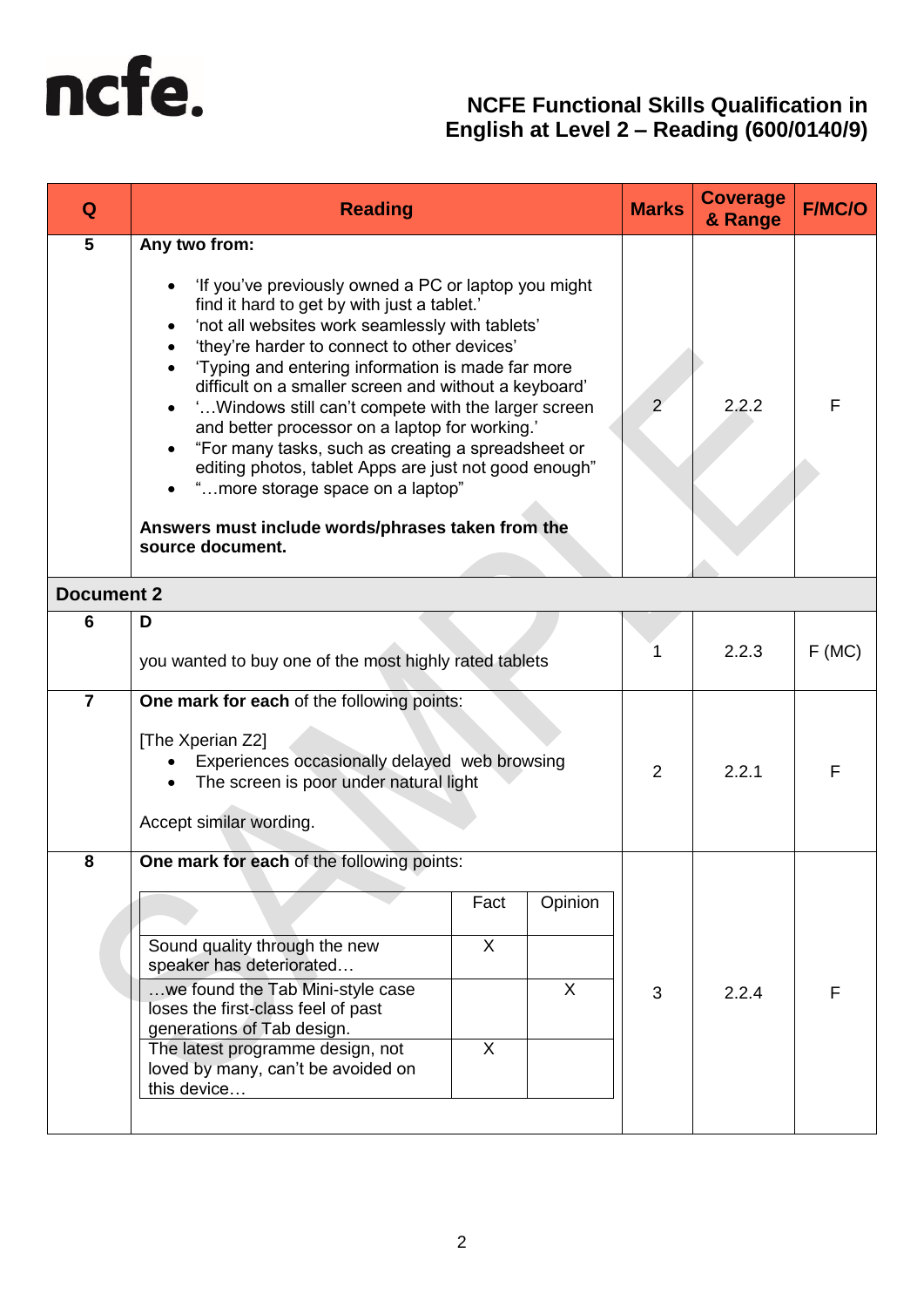

| Q                 | <b>Reading</b>                                                                                                                                                                                                                                                                                                                                                                                                                                                                                                                                                                                                                                                                                | <b>Marks</b>   | <b>Coverage</b><br>& Range | <b>F/MC/O</b> |
|-------------------|-----------------------------------------------------------------------------------------------------------------------------------------------------------------------------------------------------------------------------------------------------------------------------------------------------------------------------------------------------------------------------------------------------------------------------------------------------------------------------------------------------------------------------------------------------------------------------------------------------------------------------------------------------------------------------------------------|----------------|----------------------------|---------------|
| 5                 | Any two from:<br>'If you've previously owned a PC or laptop you might<br>find it hard to get by with just a tablet.'<br>'not all websites work seamlessly with tablets'<br>٠<br>'they're harder to connect to other devices'<br>'Typing and entering information is made far more<br>difficult on a smaller screen and without a keyboard'<br>' Windows still can't compete with the larger screen<br>and better processor on a laptop for working.'<br>"For many tasks, such as creating a spreadsheet or<br>$\bullet$<br>editing photos, tablet Apps are just not good enough"<br>"more storage space on a laptop"<br>Answers must include words/phrases taken from the<br>source document. | $\overline{2}$ | 2.2.2                      | F             |
| <b>Document 2</b> |                                                                                                                                                                                                                                                                                                                                                                                                                                                                                                                                                                                                                                                                                               |                |                            |               |
| 6                 | D<br>you wanted to buy one of the most highly rated tablets                                                                                                                                                                                                                                                                                                                                                                                                                                                                                                                                                                                                                                   |                | 2.2.3                      | F(MC)         |
| $\overline{7}$    | One mark for each of the following points:<br>[The Xperian Z2]<br>Experiences occasionally delayed web browsing<br>The screen is poor under natural light<br>Accept similar wording.                                                                                                                                                                                                                                                                                                                                                                                                                                                                                                          |                | 2.2.1                      | F             |
| 8                 | One mark for each of the following points:<br>Opinion<br>Fact<br>$\overline{X}$<br>Sound quality through the new<br>speaker has deteriorated<br>we found the Tab Mini-style case<br>X<br>loses the first-class feel of past<br>generations of Tab design.<br>$\sf X$<br>The latest programme design, not<br>loved by many, can't be avoided on<br>this device                                                                                                                                                                                                                                                                                                                                 | 3              | 2.2.4                      | F             |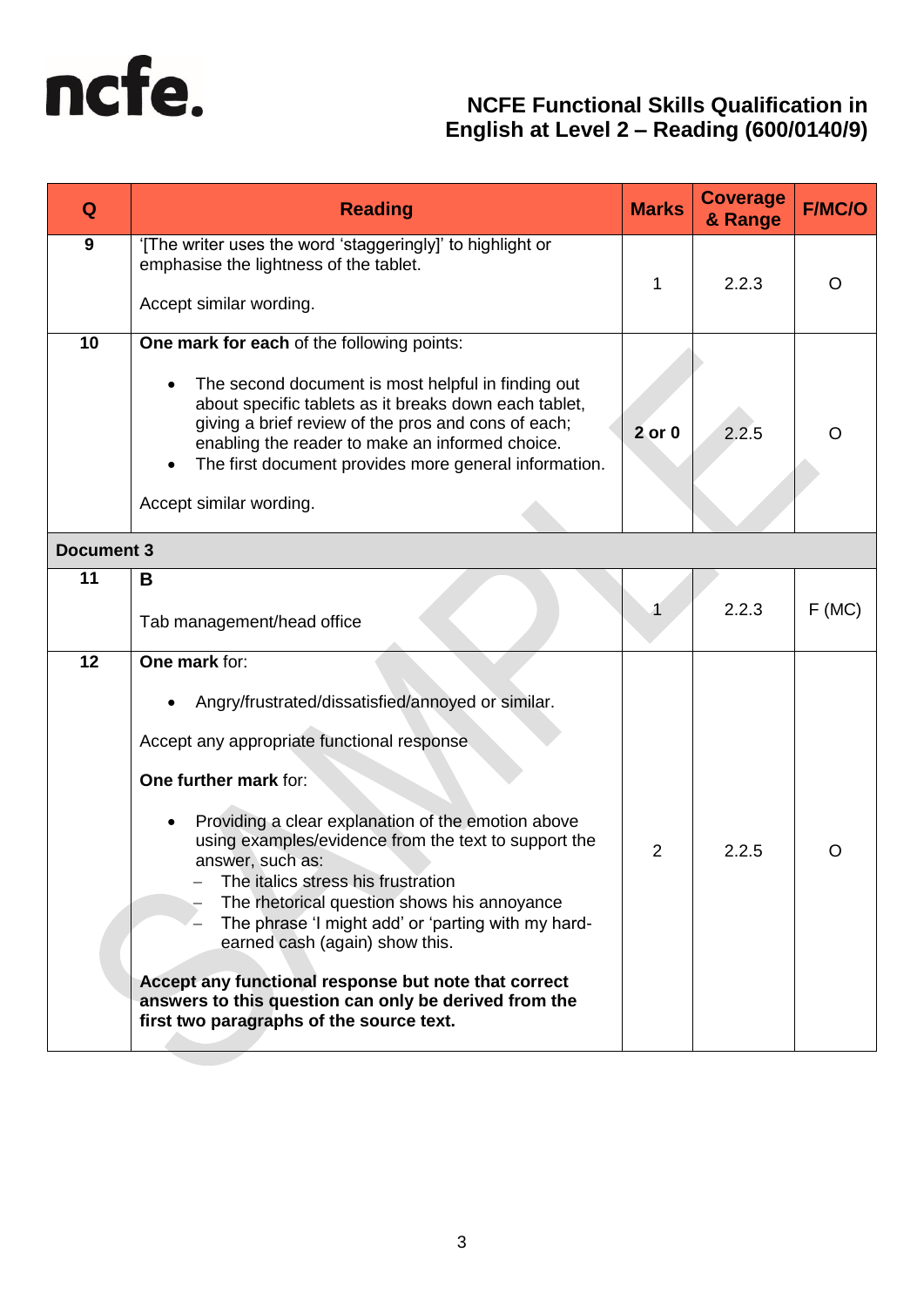

| Q                 | <b>Reading</b>                                                                                                                                                                                                                                                                                                                                                                                                                                                                                                                                                                                                             | <b>Marks</b>   | <b>Coverage</b><br>& Range | <b>F/MC/O</b> |
|-------------------|----------------------------------------------------------------------------------------------------------------------------------------------------------------------------------------------------------------------------------------------------------------------------------------------------------------------------------------------------------------------------------------------------------------------------------------------------------------------------------------------------------------------------------------------------------------------------------------------------------------------------|----------------|----------------------------|---------------|
| 9                 | '[The writer uses the word 'staggeringly]' to highlight or<br>emphasise the lightness of the tablet.<br>Accept similar wording.                                                                                                                                                                                                                                                                                                                                                                                                                                                                                            | 1              | 2.2.3                      | O             |
| 10                | One mark for each of the following points:<br>The second document is most helpful in finding out<br>about specific tablets as it breaks down each tablet,<br>giving a brief review of the pros and cons of each;<br>enabling the reader to make an informed choice.<br>The first document provides more general information.<br>Accept similar wording.                                                                                                                                                                                                                                                                    | $2$ or $0$     | 2.2.5                      | O             |
| <b>Document 3</b> |                                                                                                                                                                                                                                                                                                                                                                                                                                                                                                                                                                                                                            |                |                            |               |
| 11                | B<br>Tab management/head office                                                                                                                                                                                                                                                                                                                                                                                                                                                                                                                                                                                            |                | 2.2.3                      | F(MC)         |
| 12                | One mark for:<br>Angry/frustrated/dissatisfied/annoyed or similar.<br>٠<br>Accept any appropriate functional response<br>One further mark for:<br>Providing a clear explanation of the emotion above<br>using examples/evidence from the text to support the<br>answer, such as:<br>The italics stress his frustration<br>The rhetorical question shows his annoyance<br>The phrase 'I might add' or 'parting with my hard-<br>earned cash (again) show this.<br>Accept any functional response but note that correct<br>answers to this question can only be derived from the<br>first two paragraphs of the source text. | $\overline{2}$ | 2.2.5                      | ( )           |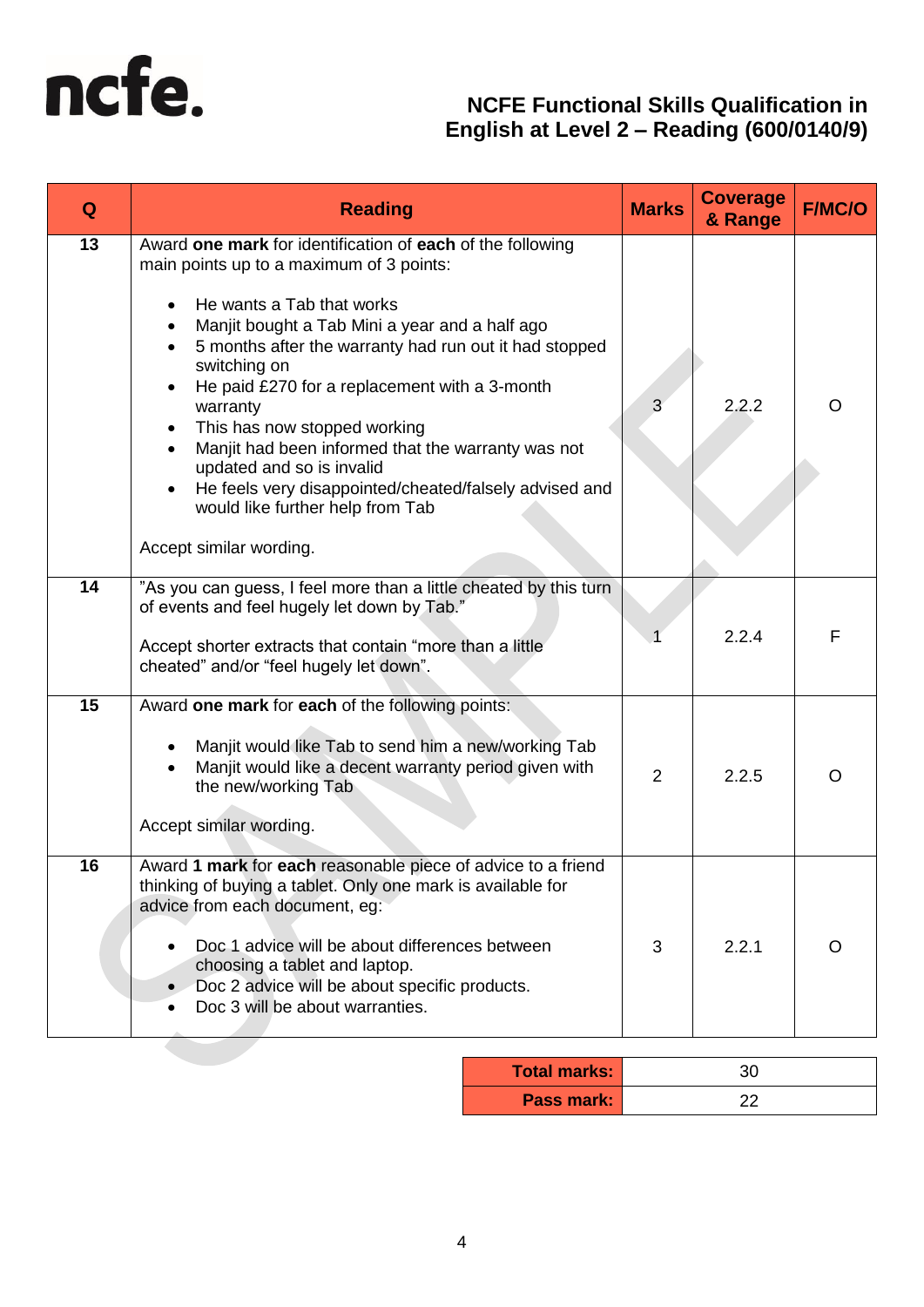

| Q  | <b>Reading</b>                                                                                                                                                                                                                                                                                                                                                                                                                                                                                                                                                                        | <b>Marks</b>   | <b>Coverage</b><br>& Range | <b>F/MC/O</b> |
|----|---------------------------------------------------------------------------------------------------------------------------------------------------------------------------------------------------------------------------------------------------------------------------------------------------------------------------------------------------------------------------------------------------------------------------------------------------------------------------------------------------------------------------------------------------------------------------------------|----------------|----------------------------|---------------|
| 13 | Award one mark for identification of each of the following<br>main points up to a maximum of 3 points:<br>He wants a Tab that works<br>Manjit bought a Tab Mini a year and a half ago<br>5 months after the warranty had run out it had stopped<br>switching on<br>He paid £270 for a replacement with a 3-month<br>warranty<br>This has now stopped working<br>Manjit had been informed that the warranty was not<br>$\bullet$<br>updated and so is invalid<br>He feels very disappointed/cheated/falsely advised and<br>would like further help from Tab<br>Accept similar wording. | 3              | 2.2.2                      | O             |
| 14 | "As you can guess, I feel more than a little cheated by this turn<br>of events and feel hugely let down by Tab."<br>Accept shorter extracts that contain "more than a little<br>cheated" and/or "feel hugely let down".                                                                                                                                                                                                                                                                                                                                                               |                | 2.2.4                      | F             |
| 15 | Award one mark for each of the following points:<br>Manjit would like Tab to send him a new/working Tab<br>Manjit would like a decent warranty period given with<br>the new/working Tab<br>Accept similar wording.                                                                                                                                                                                                                                                                                                                                                                    | $\overline{2}$ | 2.2.5                      | $\Omega$      |
| 16 | Award 1 mark for each reasonable piece of advice to a friend<br>thinking of buying a tablet. Only one mark is available for<br>advice from each document, eg:<br>Doc 1 advice will be about differences between<br>choosing a tablet and laptop.<br>Doc 2 advice will be about specific products.<br>Doc 3 will be about warranties.                                                                                                                                                                                                                                                  | 3              | 2.2.1                      | O             |

| <b>Total marks:</b> | ี ?∩ |
|---------------------|------|
| <b>Pass mark:</b>   |      |